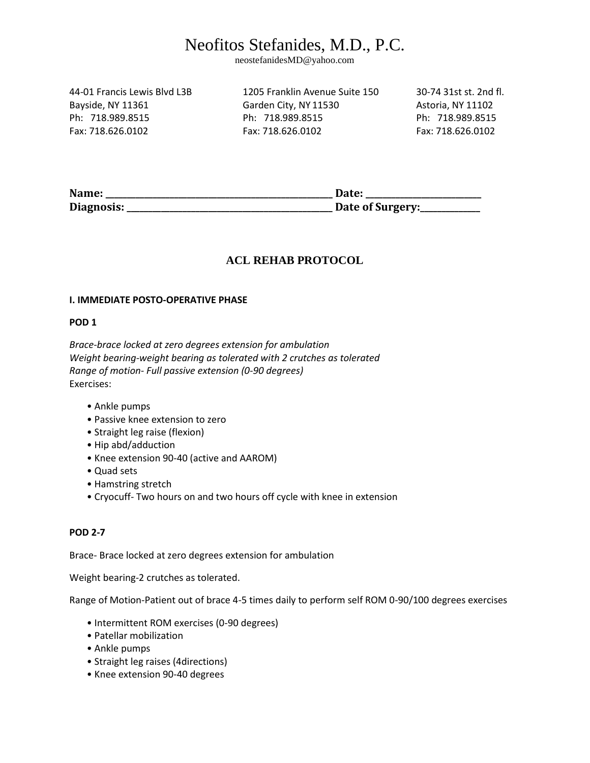neostefanidesMD@yahoo.com

44-01 Francis Lewis Blvd L3B 1205 Franklin Avenue Suite 150 30-74 31st st. 2nd fl.

Bayside, NY 11361 Garden City, NY 11530 Astoria, NY 11102 Ph: 718.989.8515 Ph: 718.989.8515 Ph: 718.989.8515 Fax: 718.626.0102 Fax: 718.626.0102 Fax: 718.626.0102

**Name: \_\_\_\_\_\_\_\_\_\_\_\_\_\_\_\_\_\_\_\_\_\_\_\_\_\_\_\_\_\_\_\_\_\_\_\_\_\_\_\_\_\_\_\_\_\_\_\_\_\_\_\_\_ Date: \_\_\_\_\_\_\_\_\_\_\_\_\_\_\_\_\_\_\_\_\_\_\_\_\_\_\_ Diagnosis: \_\_\_\_\_\_\_\_\_\_\_\_\_\_\_\_\_\_\_\_\_\_\_\_\_\_\_\_\_\_\_\_\_\_\_\_\_\_\_\_\_\_\_\_\_\_\_\_ Date of Surgery:\_\_\_\_\_\_\_\_\_\_\_\_\_\_** 

### **ACL REHAB PROTOCOL**

#### **I. IMMEDIATE POSTO-OPERATIVE PHASE**

#### **POD 1**

*Brace-brace locked at zero degrees extension for ambulation Weight bearing-weight bearing as tolerated with 2 crutches as tolerated Range of motion- Full passive extension (0-90 degrees)*  Exercises:

- Ankle pumps
- Passive knee extension to zero
- Straight leg raise (flexion)
- Hip abd/adduction
- Knee extension 90-40 (active and AAROM)
- Quad sets
- Hamstring stretch
- Cryocuff- Two hours on and two hours off cycle with knee in extension

#### **POD 2-7**

Brace- Brace locked at zero degrees extension for ambulation

Weight bearing-2 crutches as tolerated.

Range of Motion-Patient out of brace 4-5 times daily to perform self ROM 0-90/100 degrees exercises

- Intermittent ROM exercises (0-90 degrees)
- Patellar mobilization
- Ankle pumps
- Straight leg raises (4directions)
- Knee extension 90-40 degrees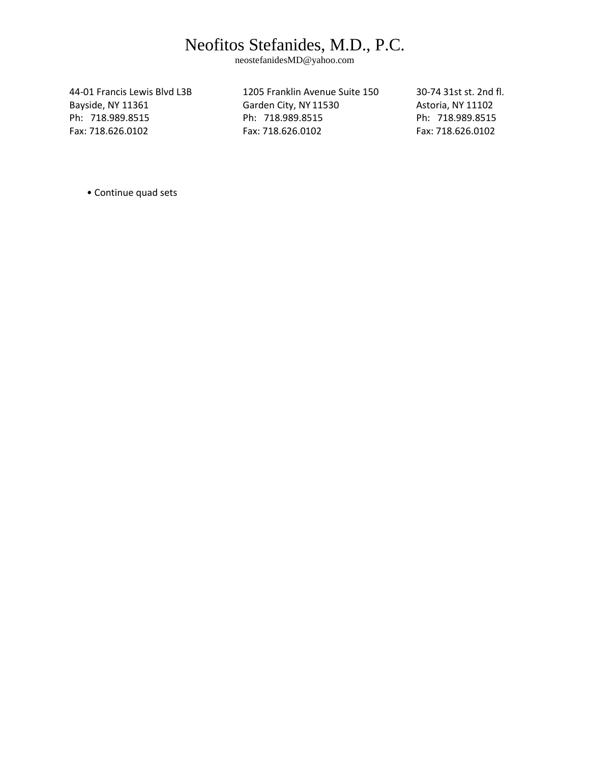neostefanidesMD@yahoo.com

44-01 Francis Lewis Blvd L3B 1205 Franklin Avenue Suite 150 30-74 31st st. 2nd fl. Bayside, NY 11361 Garden City, NY 11530 Astoria, NY 11102 Ph: 718.989.8515 Ph: 718.989.8515 Ph: 718.989.8515 Fax: 718.626.0102 Fax: 718.626.0102 Fax: 718.626.0102

• Continue quad sets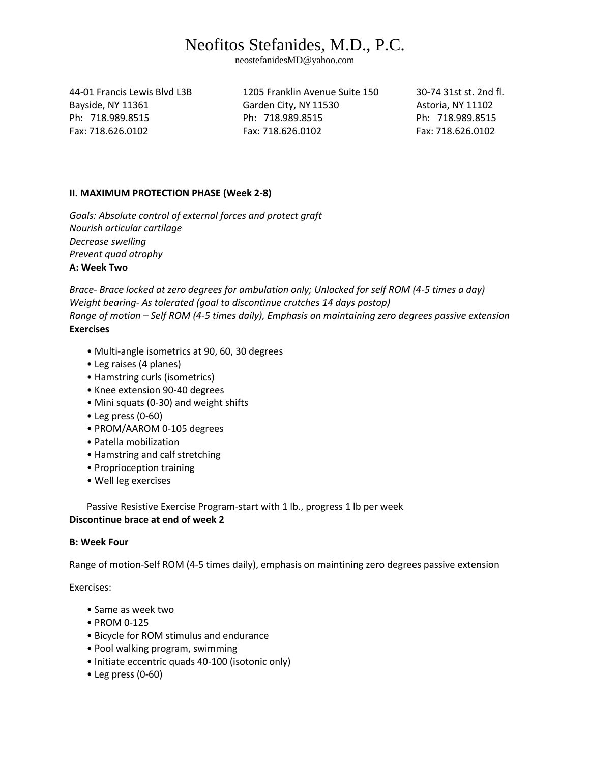neostefanidesMD@yahoo.com

44-01 Francis Lewis Blvd L3B 1205 Franklin Avenue Suite 150 30-74 31st st. 2nd fl.

Bayside, NY 11361 Garden City, NY 11530 Astoria, NY 11102 Ph: 718.989.8515 Ph: 718.989.8515 Ph: 718.989.8515 Fax: 718.626.0102 Fax: 718.626.0102 Fax: 718.626.0102

### **II. MAXIMUM PROTECTION PHASE (Week 2-8)**

*Goals: Absolute control of external forces and protect graft Nourish articular cartilage Decrease swelling Prevent quad atrophy*  **A: Week Two** 

*Brace- Brace locked at zero degrees for ambulation only; Unlocked for self ROM (4-5 times a day) Weight bearing- As tolerated (goal to discontinue crutches 14 days postop) Range of motion – Self ROM (4-5 times daily), Emphasis on maintaining zero degrees passive extension*  **Exercises** 

- Multi-angle isometrics at 90, 60, 30 degrees
- Leg raises (4 planes)
- Hamstring curls (isometrics)
- Knee extension 90-40 degrees
- Mini squats (0-30) and weight shifts
- Leg press (0-60)
- PROM/AAROM 0-105 degrees
- Patella mobilization
- Hamstring and calf stretching
- Proprioception training
- Well leg exercises

Passive Resistive Exercise Program-start with 1 lb., progress 1 lb per week **Discontinue brace at end of week 2** 

### **B: Week Four**

Range of motion-Self ROM (4-5 times daily), emphasis on maintining zero degrees passive extension

Exercises:

- Same as week two
- PROM 0-125
- Bicycle for ROM stimulus and endurance
- Pool walking program, swimming
- Initiate eccentric quads 40-100 (isotonic only)
- Leg press (0-60)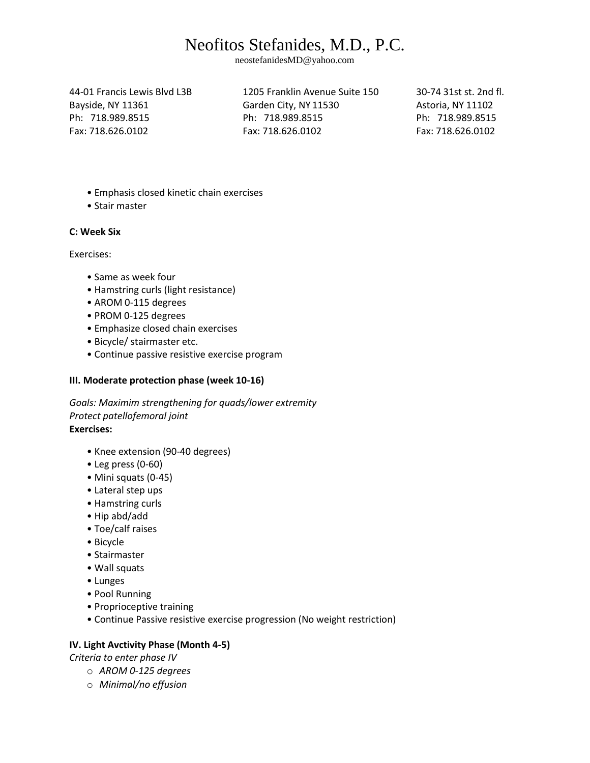neostefanidesMD@yahoo.com

44-01 Francis Lewis Blvd L3B 1205 Franklin Avenue Suite 150 30-74 31st st. 2nd fl. Bayside, NY 11361 Garden City, NY 11530 Astoria, NY 11102 Ph: 718.989.8515 Ph: 718.989.8515 Ph: 718.989.8515 Fax: 718.626.0102 Fax: 718.626.0102 Fax: 718.626.0102

- Emphasis closed kinetic chain exercises
- Stair master

#### **C: Week Six**

Exercises:

- Same as week four
- Hamstring curls (light resistance)
- AROM 0-115 degrees
- PROM 0-125 degrees
- Emphasize closed chain exercises
- Bicycle/ stairmaster etc.
- Continue passive resistive exercise program

### **III. Moderate protection phase (week 10-16)**

*Goals: Maximim strengthening for quads/lower extremity Protect patellofemoral joint*  **Exercises:** 

- Knee extension (90-40 degrees)
- Leg press (0-60)
- Mini squats (0-45)
- Lateral step ups
- Hamstring curls
- Hip abd/add
- Toe/calf raises
- Bicycle
- Stairmaster
- Wall squats
- Lunges
- Pool Running
- Proprioceptive training
- Continue Passive resistive exercise progression (No weight restriction)

### **IV. Light Avctivity Phase (Month 4-5)**

*Criteria to enter phase IV* 

- o *AROM 0-125 degrees*
- o *Minimal/no effusion*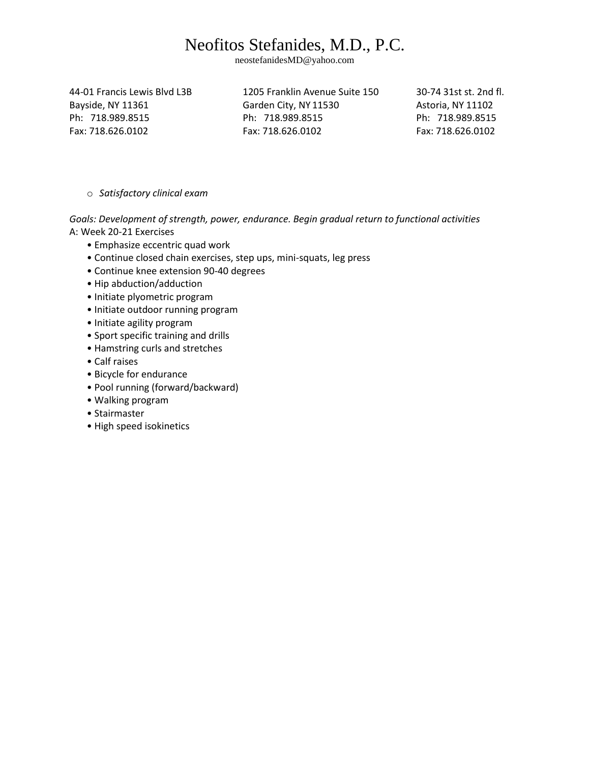neostefanidesMD@yahoo.com

44-01 Francis Lewis Blvd L3B 1205 Franklin Avenue Suite 150 30-74 31st st. 2nd fl.

Bayside, NY 11361 Garden City, NY 11530 Astoria, NY 11102 Ph: 718.989.8515 Ph: 718.989.8515 Ph: 718.989.8515 Fax: 718.626.0102 Fax: 718.626.0102 Fax: 718.626.0102

o *Satisfactory clinical exam* 

*Goals: Development of strength, power, endurance. Begin gradual return to functional activities*  A: Week 20-21 Exercises

- Emphasize eccentric quad work
- Continue closed chain exercises, step ups, mini-squats, leg press
- Continue knee extension 90-40 degrees
- Hip abduction/adduction
- Initiate plyometric program
- Initiate outdoor running program
- Initiate agility program
- Sport specific training and drills
- Hamstring curls and stretches
- Calf raises
- Bicycle for endurance
- Pool running (forward/backward)
- Walking program
- Stairmaster
- High speed isokinetics